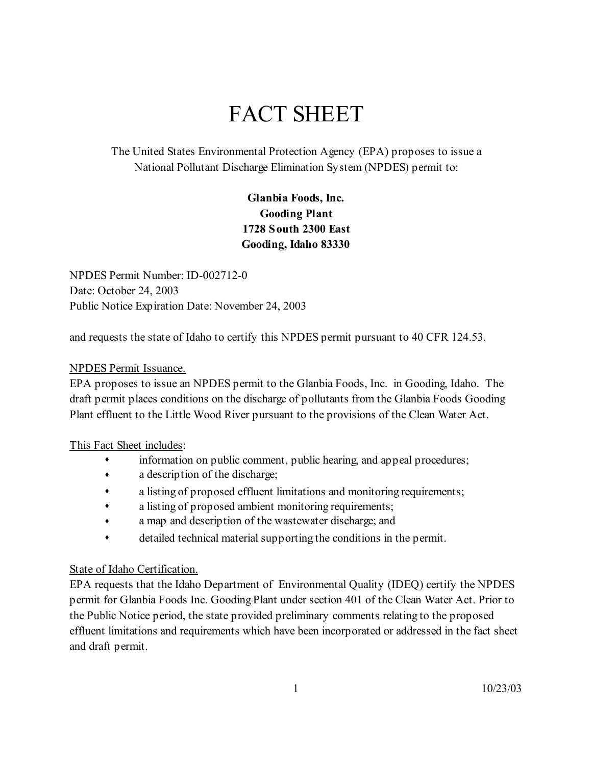# FACT SHEET

The United States Environmental Protection Agency (EPA) proposes to issue a National Pollutant Discharge Elimination System (NPDES) permit to:

> **Glanbia Foods, Inc. Gooding Plant 1728 South 2300 East Gooding, Idaho 83330**

NPDES Permit Number: ID-002712-0 Date: October 24, 2003 Public Notice Expiration Date: November 24, 2003

and requests the state of Idaho to certify this NPDES permit pursuant to 40 CFR 124.53.

#### NPDES Permit Issuance.

EPA proposes to issue an NPDES permit to the Glanbia Foods, Inc. in Gooding, Idaho. The draft permit places conditions on the discharge of pollutants from the Glanbia Foods Gooding Plant effluent to the Little Wood River pursuant to the provisions of the Clean Water Act.

#### This Fact Sheet includes:

- information on public comment, public hearing, and appeal procedures;
- a description of the discharge;
- a listing of proposed effluent limitations and monitoring requirements;
- a listing of proposed ambient monitoring requirements;
- a map and description of the wastewater discharge; and
- detailed technical material supporting the conditions in the permit.

## State of Idaho Certification.

EPA requests that the Idaho Department of Environmental Quality (IDEQ) certify the NPDES permit for Glanbia Foods Inc. Gooding Plant under section 401 of the Clean Water Act. Prior to the Public Notice period, the state provided preliminary comments relating to the proposed effluent limitations and requirements which have been incorporated or addressed in the fact sheet and draft permit.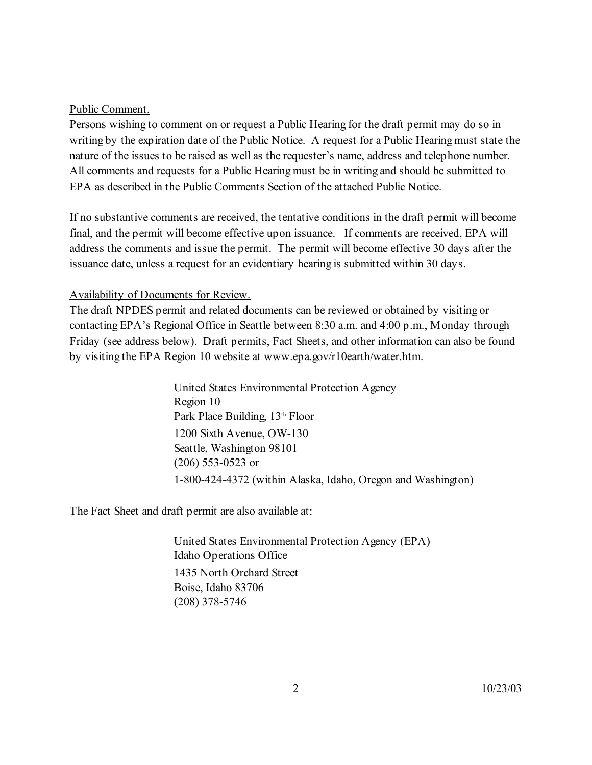#### Public Comment.

Persons wishing to comment on or request a Public Hearing for the draft permit may do so in writing by the expiration date of the Public Notice. A request for a Public Hearing must state the nature of the issues to be raised as well as the requester's name, address and telephone number. All comments and requests for a Public Hearing must be in writing and should be submitted to EPA as described in the Public Comments Section of the attached Public Notice.

If no substantive comments are received, the tentative conditions in the draft permit will become final, and the permit will become effective upon issuance. If comments are received, EPA will address the comments and issue the permit. The permit will become effective 30 days after the issuance date, unless a request for an evidentiary hearing is submitted within 30 days.

## Availability of Documents for Review.

The draft NPDES permit and related documents can be reviewed or obtained by visiting or contacting EPA's Regional Office in Seattle between 8:30 a.m. and 4:00 p.m., Monday through Friday (see address below). Draft permits, Fact Sheets, and other information can also be found by visiting the EPA Region 10 website at www.epa.gov/r10earth/water.htm.

> United States Environmental Protection Agency Region 10 Park Place Building, 13<sup>th</sup> Floor 1200 Sixth Avenue, OW-130 Seattle, Washington 98101 (206) 553-0523 or 1-800-424-4372 (within Alaska, Idaho, Oregon and Washington)

The Fact Sheet and draft permit are also available at:

United States Environmental Protection Agency (EPA) Idaho Operations Office 1435 North Orchard Street Boise, Idaho 83706 (208) 378-5746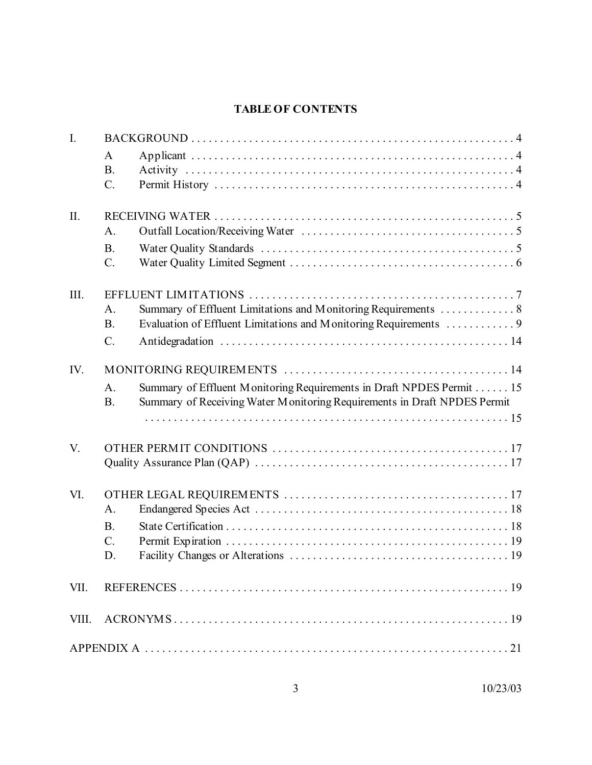# **TABLE OF CONTENTS**

| $\overline{L}$ |                             |                                                                                                                                                  |  |  |  |  |
|----------------|-----------------------------|--------------------------------------------------------------------------------------------------------------------------------------------------|--|--|--|--|
|                | A                           |                                                                                                                                                  |  |  |  |  |
|                | <b>B.</b>                   |                                                                                                                                                  |  |  |  |  |
|                | $\mathcal{C}$ .             |                                                                                                                                                  |  |  |  |  |
| II.            |                             |                                                                                                                                                  |  |  |  |  |
|                | A.                          |                                                                                                                                                  |  |  |  |  |
|                | <b>B.</b>                   |                                                                                                                                                  |  |  |  |  |
|                | $C$ .                       |                                                                                                                                                  |  |  |  |  |
| III.           |                             |                                                                                                                                                  |  |  |  |  |
|                | A.                          |                                                                                                                                                  |  |  |  |  |
|                | <b>B.</b>                   | Evaluation of Effluent Limitations and Monitoring Requirements  9                                                                                |  |  |  |  |
|                | $C$ .                       |                                                                                                                                                  |  |  |  |  |
| IV.            |                             |                                                                                                                                                  |  |  |  |  |
|                | A <sub>1</sub><br><b>B.</b> | Summary of Effluent Monitoring Requirements in Draft NPDES Permit 15<br>Summary of Receiving Water Monitoring Requirements in Draft NPDES Permit |  |  |  |  |
|                |                             |                                                                                                                                                  |  |  |  |  |
| V.             |                             |                                                                                                                                                  |  |  |  |  |
|                |                             |                                                                                                                                                  |  |  |  |  |
|                |                             |                                                                                                                                                  |  |  |  |  |
| VI.            |                             |                                                                                                                                                  |  |  |  |  |
|                | A.                          |                                                                                                                                                  |  |  |  |  |
|                | <b>B.</b>                   |                                                                                                                                                  |  |  |  |  |
|                | $\mathcal{C}$ .             |                                                                                                                                                  |  |  |  |  |
|                | D.                          |                                                                                                                                                  |  |  |  |  |
| VII.           |                             |                                                                                                                                                  |  |  |  |  |
|                |                             |                                                                                                                                                  |  |  |  |  |
|                |                             |                                                                                                                                                  |  |  |  |  |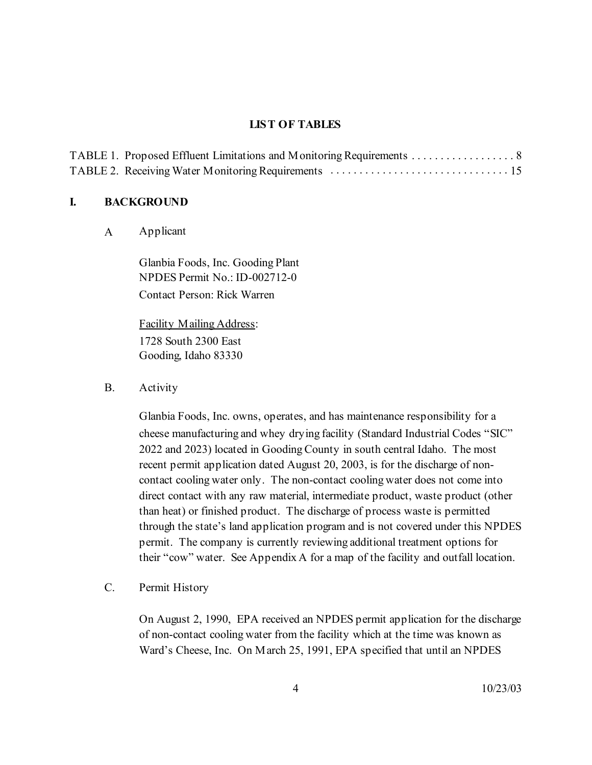#### **LIST OF TABLES**

#### **I. BACKGROUND**

A Applicant

Glanbia Foods, Inc. Gooding Plant NPDES Permit No.: ID-002712-0 Contact Person: Rick Warren

Facility Mailing Address: 1728 South 2300 East Gooding, Idaho 83330

B. Activity

Glanbia Foods, Inc. owns, operates, and has maintenance responsibility for a cheese manufacturing and whey drying facility (Standard Industrial Codes "SIC" 2022 and 2023) located in Gooding County in south central Idaho. The most recent permit application dated August 20, 2003, is for the discharge of noncontact cooling water only. The non-contact cooling water does not come into direct contact with any raw material, intermediate product, waste product (other than heat) or finished product. The discharge of process waste is permitted through the state's land application program and is not covered under this NPDES permit. The company is currently reviewing additional treatment options for their "cow" water. See Appendix A for a map of the facility and outfall location.

C. Permit History

On August 2, 1990, EPA received an NPDES permit application for the discharge of non-contact cooling water from the facility which at the time was known as Ward's Cheese, Inc. On March 25, 1991, EPA specified that until an NPDES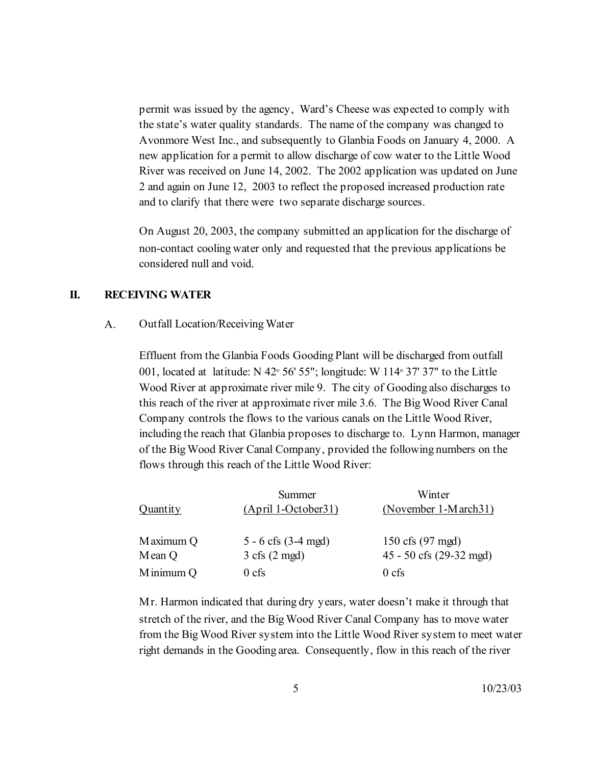permit was issued by the agency, Ward's Cheese was expected to comply with the state's water quality standards. The name of the company was changed to Avonmore West Inc., and subsequently to Glanbia Foods on January 4, 2000. A new application for a permit to allow discharge of cow water to the Little Wood River was received on June 14, 2002. The 2002 application was updated on June 2 and again on June 12, 2003 to reflect the proposed increased production rate and to clarify that there were two separate discharge sources.

On August 20, 2003, the company submitted an application for the discharge of non-contact cooling water only and requested that the previous applications be considered null and void.

## **II. RECEIVING WATER**

#### A. Outfall Location/Receiving Water

Effluent from the Glanbia Foods Gooding Plant will be discharged from outfall 001, located at latitude: N  $42^{\circ}$  56' 55"; longitude: W 114 $\circ$  37' 37" to the Little Wood River at approximate river mile 9. The city of Gooding also discharges to this reach of the river at approximate river mile 3.6. The Big Wood River Canal Company controls the flows to the various canals on the Little Wood River, including the reach that Glanbia proposes to discharge to. Lynn Harmon, manager of the Big Wood River Canal Company, provided the following numbers on the flows through this reach of the Little Wood River:

|                 | Summer                          | Winter                  |
|-----------------|---------------------------------|-------------------------|
| <b>Quantity</b> | $(April 1-October31)$           | (November 1-March31)    |
| Maximum Q       | $5 - 6$ cfs $(3-4$ mgd)         | 150 cfs (97 mgd)        |
|                 |                                 |                         |
| Mean Q          | $3 \text{ cfs} (2 \text{ mgd})$ | 45 - 50 cfs (29-32 mgd) |
| Minimum Q       | $0 \text{ cfs}$                 | $0$ cfs                 |

Mr. Harmon indicated that during dry years, water doesn't make it through that stretch of the river, and the Big Wood River Canal Company has to move water from the Big Wood River system into the Little Wood River system to meet water right demands in the Gooding area. Consequently, flow in this reach of the river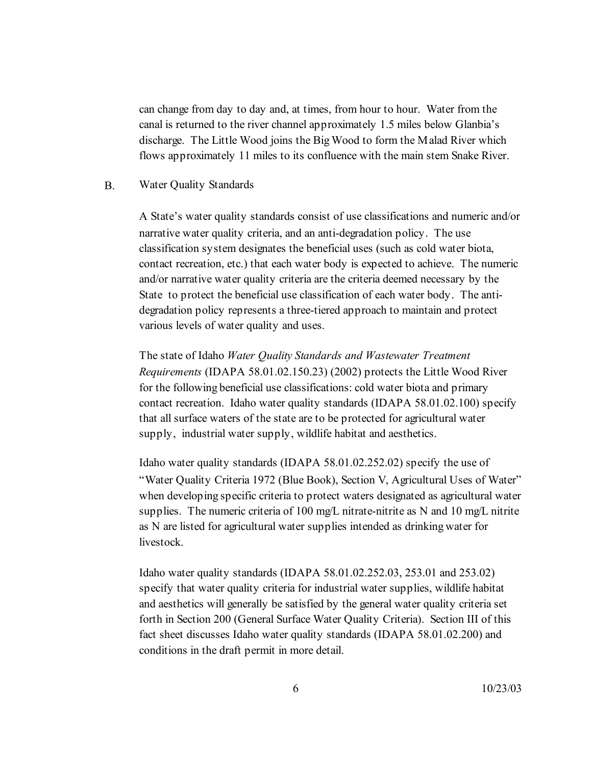can change from day to day and, at times, from hour to hour. Water from the canal is returned to the river channel approximately 1.5 miles below Glanbia's discharge. The Little Wood joins the Big Wood to form the Malad River which flows approximately 11 miles to its confluence with the main stem Snake River.

#### B. Water Quality Standards

A State's water quality standards consist of use classifications and numeric and/or narrative water quality criteria, and an anti-degradation policy. The use classification system designates the beneficial uses (such as cold water biota, contact recreation, etc.) that each water body is expected to achieve. The numeric and/or narrative water quality criteria are the criteria deemed necessary by the State to protect the beneficial use classification of each water body. The antidegradation policy represents a three-tiered approach to maintain and protect various levels of water quality and uses.

The state of Idaho *Water Quality Standards and Wastewater Treatment Requirements* (IDAPA 58.01.02.150.23) (2002) protects the Little Wood River for the following beneficial use classifications: cold water biota and primary contact recreation. Idaho water quality standards (IDAPA 58.01.02.100) specify that all surface waters of the state are to be protected for agricultural water supply, industrial water supply, wildlife habitat and aesthetics.

Idaho water quality standards (IDAPA 58.01.02.252.02) specify the use of "Water Quality Criteria 1972 (Blue Book), Section V, Agricultural Uses of Water" when developing specific criteria to protect waters designated as agricultural water supplies. The numeric criteria of 100 mg/L nitrate-nitrite as N and 10 mg/L nitrite as N are listed for agricultural water supplies intended as drinking water for livestock.

Idaho water quality standards (IDAPA 58.01.02.252.03, 253.01 and 253.02) specify that water quality criteria for industrial water supplies, wildlife habitat and aesthetics will generally be satisfied by the general water quality criteria set forth in Section 200 (General Surface Water Quality Criteria). Section III of this fact sheet discusses Idaho water quality standards (IDAPA 58.01.02.200) and conditions in the draft permit in more detail.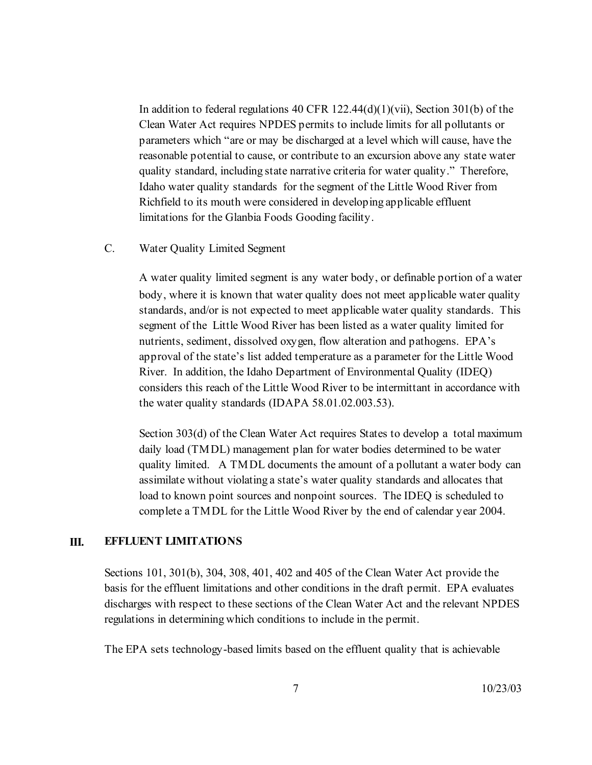In addition to federal regulations 40 CFR  $122.44(d)(1)(vii)$ , Section 301(b) of the Clean Water Act requires NPDES permits to include limits for all pollutants or parameters which "are or may be discharged at a level which will cause, have the reasonable potential to cause, or contribute to an excursion above any state water quality standard, including state narrative criteria for water quality." Therefore, Idaho water quality standards for the segment of the Little Wood River from Richfield to its mouth were considered in developing applicable effluent limitations for the Glanbia Foods Gooding facility.

C. Water Quality Limited Segment

A water quality limited segment is any water body, or definable portion of a water body, where it is known that water quality does not meet applicable water quality standards, and/or is not expected to meet applicable water quality standards. This segment of the Little Wood River has been listed as a water quality limited for nutrients, sediment, dissolved oxygen, flow alteration and pathogens. EPA's approval of the state's list added temperature as a parameter for the Little Wood River. In addition, the Idaho Department of Environmental Quality (IDEQ) considers this reach of the Little Wood River to be intermittant in accordance with the water quality standards (IDAPA 58.01.02.003.53).

Section 303(d) of the Clean Water Act requires States to develop a total maximum daily load (TMDL) management plan for water bodies determined to be water quality limited. A TMDL documents the amount of a pollutant a water body can assimilate without violating a state's water quality standards and allocates that load to known point sources and nonpoint sources. The IDEQ is scheduled to complete a TMDL for the Little Wood River by the end of calendar year 2004.

#### **III. EFFLUENT LIMITATIONS**

Sections 101, 301(b), 304, 308, 401, 402 and 405 of the Clean Water Act provide the basis for the effluent limitations and other conditions in the draft permit. EPA evaluates discharges with respect to these sections of the Clean Water Act and the relevant NPDES regulations in determining which conditions to include in the permit.

The EPA sets technology-based limits based on the effluent quality that is achievable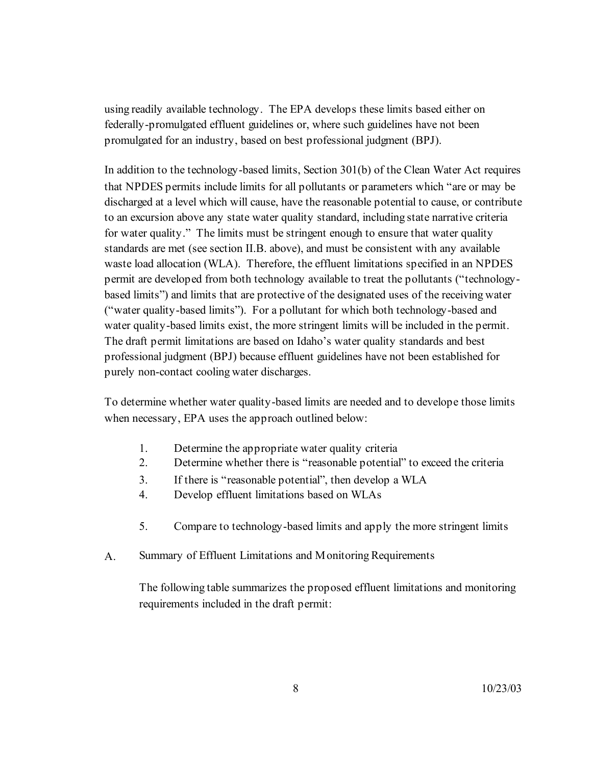using readily available technology. The EPA develops these limits based either on federally-promulgated effluent guidelines or, where such guidelines have not been promulgated for an industry, based on best professional judgment (BPJ).

In addition to the technology-based limits, Section 301(b) of the Clean Water Act requires that NPDES permits include limits for all pollutants or parameters which "are or may be discharged at a level which will cause, have the reasonable potential to cause, or contribute to an excursion above any state water quality standard, including state narrative criteria for water quality." The limits must be stringent enough to ensure that water quality standards are met (see section II.B. above), and must be consistent with any available waste load allocation (WLA). Therefore, the effluent limitations specified in an NPDES permit are developed from both technology available to treat the pollutants ("technologybased limits") and limits that are protective of the designated uses of the receiving water ("water quality-based limits"). For a pollutant for which both technology-based and water quality-based limits exist, the more stringent limits will be included in the permit. The draft permit limitations are based on Idaho's water quality standards and best professional judgment (BPJ) because effluent guidelines have not been established for purely non-contact cooling water discharges.

To determine whether water quality-based limits are needed and to develope those limits when necessary, EPA uses the approach outlined below:

- 1. Determine the appropriate water quality criteria
- 2. Determine whether there is "reasonable potential" to exceed the criteria
- 3. If there is "reasonable potential", then develop a WLA
- 4. Develop effluent limitations based on WLAs
- 5. Compare to technology-based limits and apply the more stringent limits
- A. Summary of Effluent Limitations and Monitoring Requirements

The following table summarizes the proposed effluent limitations and monitoring requirements included in the draft permit: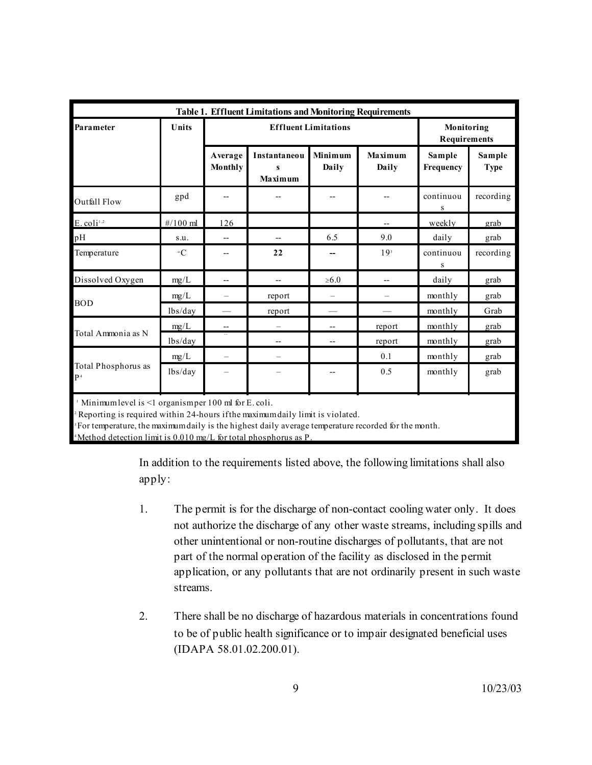| <b>Table 1. Effluent Limitations and Monitoring Requirements</b> |                 |                             |                                     |                  |                  |                            |                       |
|------------------------------------------------------------------|-----------------|-----------------------------|-------------------------------------|------------------|------------------|----------------------------|-----------------------|
| Parameter                                                        | Units           | <b>Effluent Limitations</b> |                                     |                  |                  | Monitoring<br>Requirements |                       |
|                                                                  |                 | Average<br>Monthly          | <b>Instantaneou</b><br>s<br>Maximum | Minimum<br>Daily | Maximum<br>Daily | Sample<br>Frequency        | Sample<br><b>Type</b> |
| Outfall Flow                                                     | gpd             | --                          |                                     |                  |                  | continuou<br>S             | recording             |
| $E.$ coli <sup>1,2</sup>                                         | $\#/100$ ml     | 126                         |                                     |                  |                  | weekly                     | grab                  |
| pН                                                               | S.U.            | $-$                         | $-$                                 | 6.5              | 9.0              | daily                      | grab                  |
| Temperature                                                      | $\rm ^{\circ}C$ |                             | 22                                  |                  | 19 <sup>3</sup>  | continuou<br>S             | recording             |
| Dissolved Oxygen                                                 | mg/L            |                             |                                     | $\geq 6.0$       |                  | daily                      | grab                  |
|                                                                  | mg/L            |                             | report                              |                  |                  | monthly                    | grab                  |
| <b>BOD</b>                                                       | lbs/day         |                             | report                              |                  |                  | monthly                    | Grab                  |
|                                                                  | mg/L            |                             |                                     |                  | report           | monthly                    | grab                  |
| Total Ammonia as N                                               | lbs/day         |                             |                                     | --               | report           | monthly                    | grab                  |
|                                                                  | mg/L            | $\overline{\phantom{0}}$    |                                     |                  | 0.1              | monthly                    | grab                  |
| Total Phosphorus as<br>P <sup>4</sup>                            | lbs/day         |                             |                                     |                  | 0.5              | monthly                    | grab                  |

Minimum level is <1 organism per 100 ml for E. coli.

Reporting is required within 24-hours if the maximum daily limit is violated.

For temperature, the maximum daily is the highest daily average temperature recorded for the month.

Method detection limit is  $0.010$  mg/L for total phosphorus as P.

In addition to the requirements listed above, the following limitations shall also apply:

- 1. The permit is for the discharge of non-contact cooling water only. It does not authorize the discharge of any other waste streams, including spills and other unintentional or non-routine discharges of pollutants, that are not part of the normal operation of the facility as disclosed in the permit application, or any pollutants that are not ordinarily present in such waste streams.
- 2. There shall be no discharge of hazardous materials in concentrations found to be of public health significance or to impair designated beneficial uses (IDAPA 58.01.02.200.01).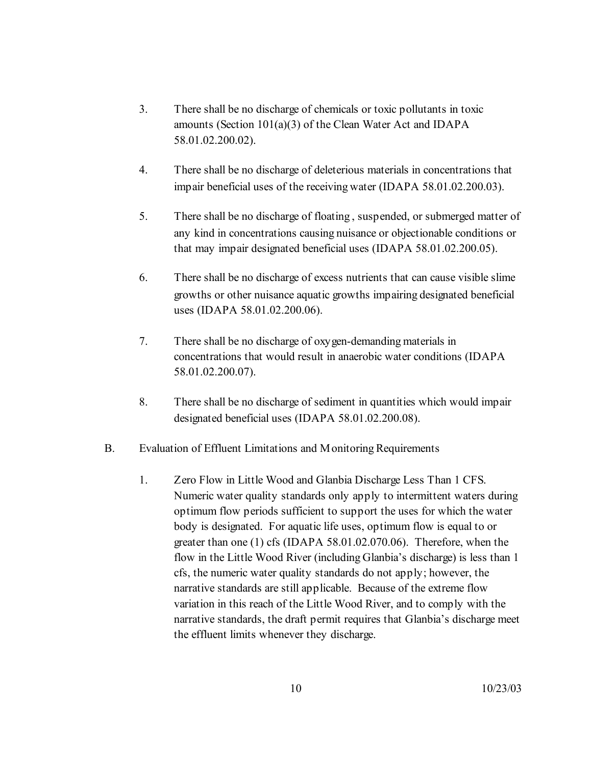- 3. There shall be no discharge of chemicals or toxic pollutants in toxic amounts (Section 101(a)(3) of the Clean Water Act and IDAPA 58.01.02.200.02).
- 4. There shall be no discharge of deleterious materials in concentrations that impair beneficial uses of the receiving water (IDAPA 58.01.02.200.03).
- 5. There shall be no discharge of floating , suspended, or submerged matter of any kind in concentrations causing nuisance or objectionable conditions or that may impair designated beneficial uses (IDAPA 58.01.02.200.05).
- 6. There shall be no discharge of excess nutrients that can cause visible slime growths or other nuisance aquatic growths impairing designated beneficial uses (IDAPA 58.01.02.200.06).
- 7. There shall be no discharge of oxygen-demanding materials in concentrations that would result in anaerobic water conditions (IDAPA 58.01.02.200.07).
- 8. There shall be no discharge of sediment in quantities which would impair designated beneficial uses (IDAPA 58.01.02.200.08).
- B. Evaluation of Effluent Limitations and Monitoring Requirements
	- 1. Zero Flow in Little Wood and Glanbia Discharge Less Than 1 CFS. Numeric water quality standards only apply to intermittent waters during optimum flow periods sufficient to support the uses for which the water body is designated. For aquatic life uses, optimum flow is equal to or greater than one (1) cfs (IDAPA 58.01.02.070.06). Therefore, when the flow in the Little Wood River (including Glanbia's discharge) is less than 1 cfs, the numeric water quality standards do not apply; however, the narrative standards are still applicable. Because of the extreme flow variation in this reach of the Little Wood River, and to comply with the narrative standards, the draft permit requires that Glanbia's discharge meet the effluent limits whenever they discharge.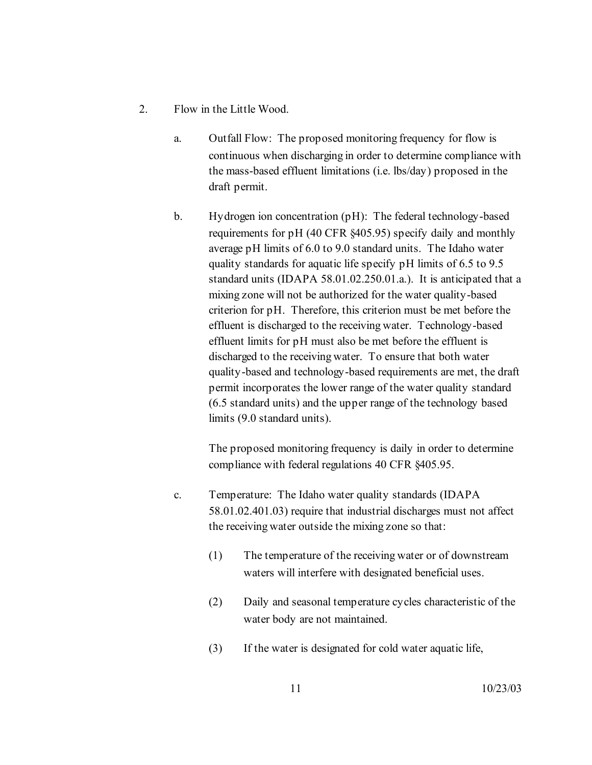- 2. Flow in the Little Wood.
	- a. Outfall Flow: The proposed monitoring frequency for flow is continuous when discharging in order to determine compliance with the mass-based effluent limitations (i.e. lbs/day) proposed in the draft permit.
	- b. Hydrogen ion concentration (pH): The federal technology-based requirements for pH (40 CFR §405.95) specify daily and monthly average pH limits of 6.0 to 9.0 standard units. The Idaho water quality standards for aquatic life specify pH limits of 6.5 to 9.5 standard units (IDAPA 58.01.02.250.01.a.). It is anticipated that a mixing zone will not be authorized for the water quality-based criterion for pH. Therefore, this criterion must be met before the effluent is discharged to the receiving water. Technology-based effluent limits for pH must also be met before the effluent is discharged to the receiving water. To ensure that both water quality-based and technology-based requirements are met, the draft permit incorporates the lower range of the water quality standard (6.5 standard units) and the upper range of the technology based limits (9.0 standard units).

The proposed monitoring frequency is daily in order to determine compliance with federal regulations 40 CFR §405.95.

- c. Temperature: The Idaho water quality standards (IDAPA 58.01.02.401.03) require that industrial discharges must not affect the receiving water outside the mixing zone so that:
	- (1) The temperature of the receiving water or of downstream waters will interfere with designated beneficial uses.
	- (2) Daily and seasonal temperature cycles characteristic of the water body are not maintained.
	- (3) If the water is designated for cold water aquatic life,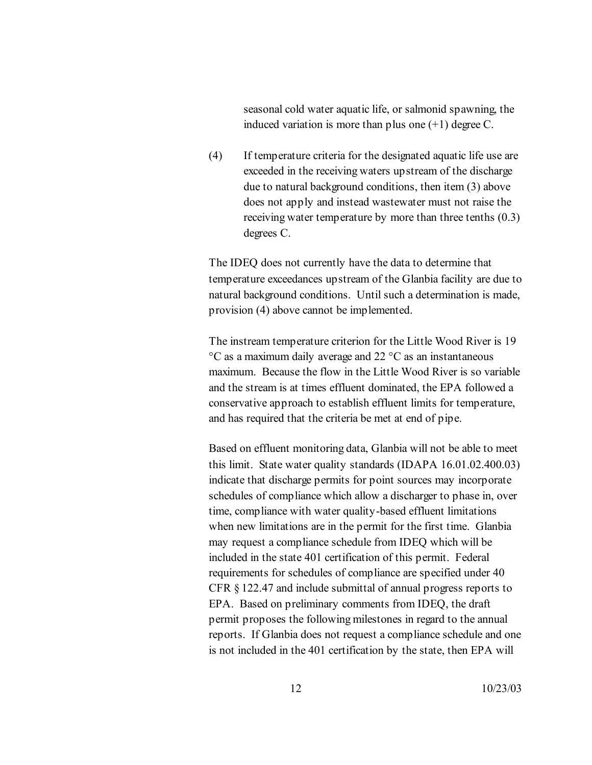seasonal cold water aquatic life, or salmonid spawning, the induced variation is more than plus one  $(+1)$  degree C.

(4) If temperature criteria for the designated aquatic life use are exceeded in the receiving waters upstream of the discharge due to natural background conditions, then item (3) above does not apply and instead wastewater must not raise the receiving water temperature by more than three tenths (0.3) degrees C.

The IDEQ does not currently have the data to determine that temperature exceedances upstream of the Glanbia facility are due to natural background conditions. Until such a determination is made, provision (4) above cannot be implemented.

The instream temperature criterion for the Little Wood River is 19 °C as a maximum daily average and 22 °C as an instantaneous maximum. Because the flow in the Little Wood River is so variable and the stream is at times effluent dominated, the EPA followed a conservative approach to establish effluent limits for temperature, and has required that the criteria be met at end of pipe.

Based on effluent monitoring data, Glanbia will not be able to meet this limit. State water quality standards (IDAPA 16.01.02.400.03) indicate that discharge permits for point sources may incorporate schedules of compliance which allow a discharger to phase in, over time, compliance with water quality-based effluent limitations when new limitations are in the permit for the first time. Glanbia may request a compliance schedule from IDEQ which will be included in the state 401 certification of this permit. Federal requirements for schedules of compliance are specified under 40 CFR § 122.47 and include submittal of annual progress reports to EPA. Based on preliminary comments from IDEQ, the draft permit proposes the following milestones in regard to the annual reports. If Glanbia does not request a compliance schedule and one is not included in the 401 certification by the state, then EPA will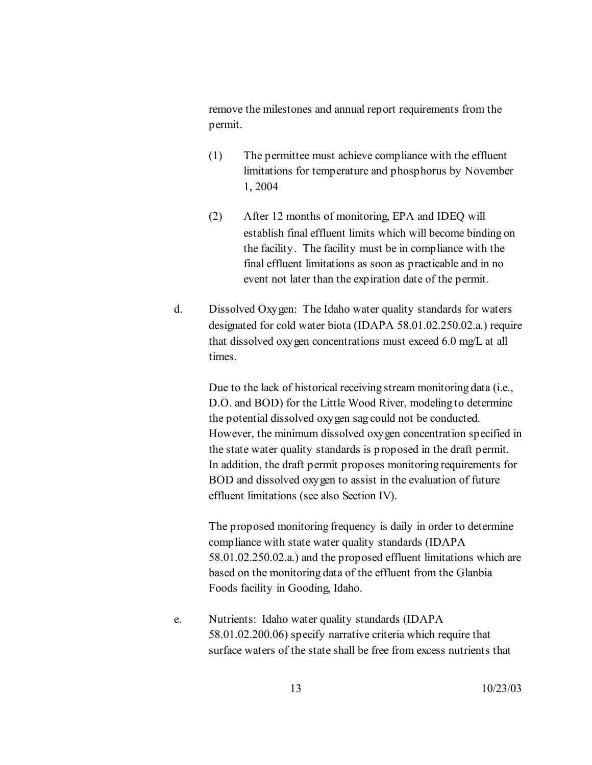remove the milestones and annual report requirements from the permit.

- (1) The permittee must achieve compliance with the effluent limitations for temperature and phosphorus by November 1, 2004
- (2) After 12 months of monitoring, EPA and IDEQ will establish final effluent limits which will become binding on the facility. The facility must be in compliance with the final effluent limitations as soon as practicable and in no event not later than the expiration date of the permit.
- d. Dissolved Oxygen: The Idaho water quality standards for waters designated for cold water biota (IDAPA 58.01.02.250.02.a.) require that dissolved oxygen concentrations must exceed 6.0 mg/L at all times.

Due to the lack of historical receiving stream monitoring data (i.e., D.O. and BOD) for the Little Wood River, modeling to determine the potential dissolved oxygen sag could not be conducted. However, the minimum dissolved oxygen concentration specified in the state water quality standards is proposed in the draft permit. In addition, the draft permit proposes monitoring requirements for BOD and dissolved oxygen to assist in the evaluation of future effluent limitations (see also Section IV).

The proposed monitoring frequency is daily in order to determine compliance with state water quality standards (IDAPA 58.01.02.250.02.a.) and the proposed effluent limitations which are based on the monitoring data of the effluent from the Glanbia Foods facility in Gooding, Idaho.

e. Nutrients: Idaho water quality standards (IDAPA 58.01.02.200.06) specify narrative criteria which require that surface waters of the state shall be free from excess nutrients that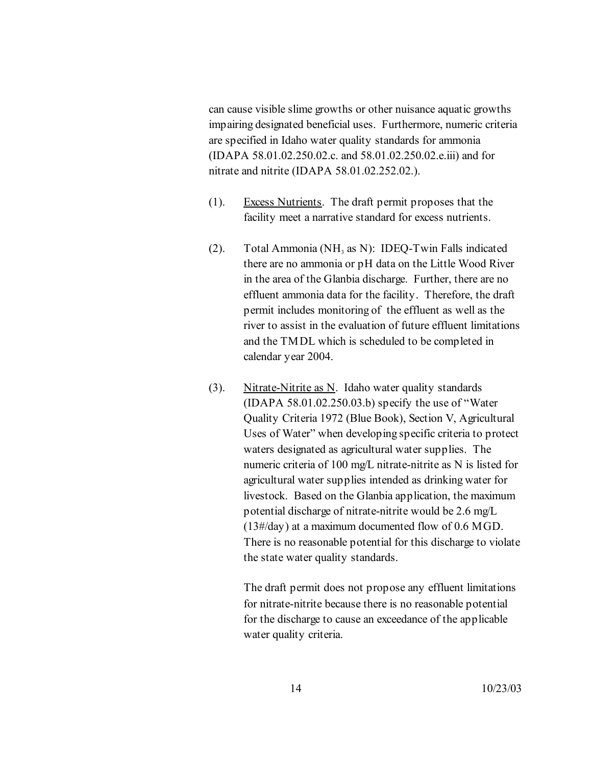can cause visible slime growths or other nuisance aquatic growths impairing designated beneficial uses. Furthermore, numeric criteria are specified in Idaho water quality standards for ammonia (IDAPA 58.01.02.250.02.c. and 58.01.02.250.02.e.iii) and for nitrate and nitrite (IDAPA 58.01.02.252.02.).

- (1). Excess Nutrients. The draft permit proposes that the facility meet a narrative standard for excess nutrients.
- (2). Total Ammonia (NH<sub>3</sub> as N): IDEQ-Twin Falls indicated there are no ammonia or pH data on the Little Wood River in the area of the Glanbia discharge. Further, there are no effluent ammonia data for the facility. Therefore, the draft permit includes monitoring of the effluent as well as the river to assist in the evaluation of future effluent limitations and the TMDL which is scheduled to be completed in calendar year 2004.
- (3). Nitrate-Nitrite as N. Idaho water quality standards (IDAPA 58.01.02.250.03.b) specify the use of "Water Quality Criteria 1972 (Blue Book), Section V, Agricultural Uses of Water" when developing specific criteria to protect waters designated as agricultural water supplies. The numeric criteria of 100 mg/L nitrate-nitrite as N is listed for agricultural water supplies intended as drinking water for livestock. Based on the Glanbia application, the maximum potential discharge of nitrate-nitrite would be 2.6 mg/L (13#/day) at a maximum documented flow of 0.6 MGD. There is no reasonable potential for this discharge to violate the state water quality standards.

The draft permit does not propose any effluent limitations for nitrate-nitrite because there is no reasonable potential for the discharge to cause an exceedance of the applicable water quality criteria.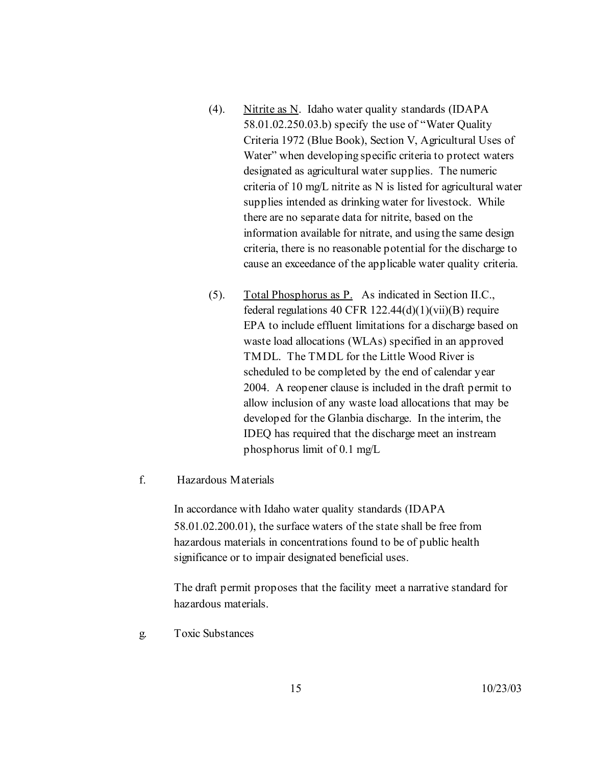- (4). Nitrite as N. Idaho water quality standards (IDAPA 58.01.02.250.03.b) specify the use of "Water Quality Criteria 1972 (Blue Book), Section V, Agricultural Uses of Water" when developing specific criteria to protect waters designated as agricultural water supplies. The numeric criteria of 10 mg/L nitrite as N is listed for agricultural water supplies intended as drinking water for livestock. While there are no separate data for nitrite, based on the information available for nitrate, and using the same design criteria, there is no reasonable potential for the discharge to cause an exceedance of the applicable water quality criteria.
- (5). Total Phosphorus as P. As indicated in Section II.C., federal regulations 40 CFR  $122.44(d)(1)(vii)(B)$  require EPA to include effluent limitations for a discharge based on waste load allocations (WLAs) specified in an approved TMDL. The TMDL for the Little Wood River is scheduled to be completed by the end of calendar year 2004. A reopener clause is included in the draft permit to allow inclusion of any waste load allocations that may be developed for the Glanbia discharge. In the interim, the IDEQ has required that the discharge meet an instream phosphorus limit of 0.1 mg/L

#### f. Hazardous Materials

In accordance with Idaho water quality standards (IDAPA 58.01.02.200.01), the surface waters of the state shall be free from hazardous materials in concentrations found to be of public health significance or to impair designated beneficial uses.

The draft permit proposes that the facility meet a narrative standard for hazardous materials.

g. Toxic Substances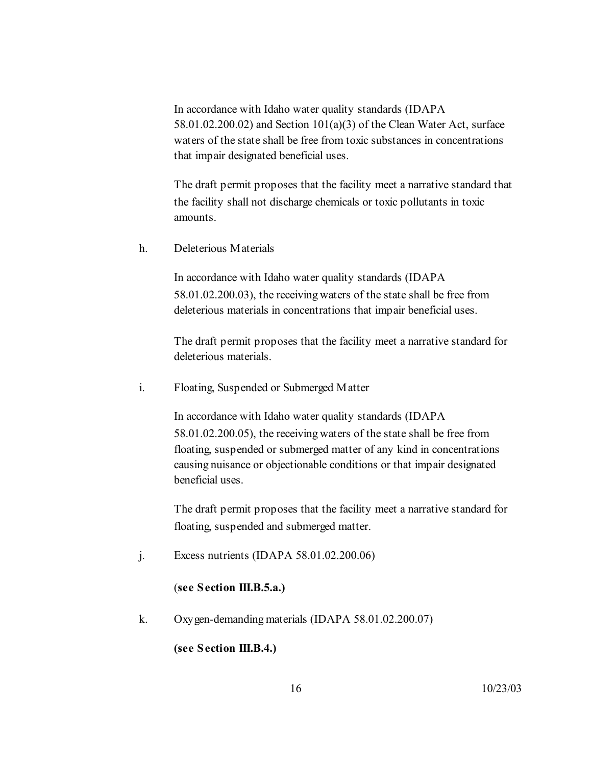In accordance with Idaho water quality standards (IDAPA 58.01.02.200.02) and Section 101(a)(3) of the Clean Water Act, surface waters of the state shall be free from toxic substances in concentrations that impair designated beneficial uses.

The draft permit proposes that the facility meet a narrative standard that the facility shall not discharge chemicals or toxic pollutants in toxic amounts.

h. Deleterious Materials

In accordance with Idaho water quality standards (IDAPA 58.01.02.200.03), the receiving waters of the state shall be free from deleterious materials in concentrations that impair beneficial uses.

The draft permit proposes that the facility meet a narrative standard for deleterious materials.

i. Floating, Suspended or Submerged Matter

In accordance with Idaho water quality standards (IDAPA 58.01.02.200.05), the receiving waters of the state shall be free from floating, suspended or submerged matter of any kind in concentrations causing nuisance or objectionable conditions or that impair designated beneficial uses.

The draft permit proposes that the facility meet a narrative standard for floating, suspended and submerged matter.

j. Excess nutrients (IDAPA 58.01.02.200.06)

#### (**see Section III.B.5.a.)**

k. Oxygen-demanding materials (IDAPA 58.01.02.200.07)

## **(see Section III.B.4.)**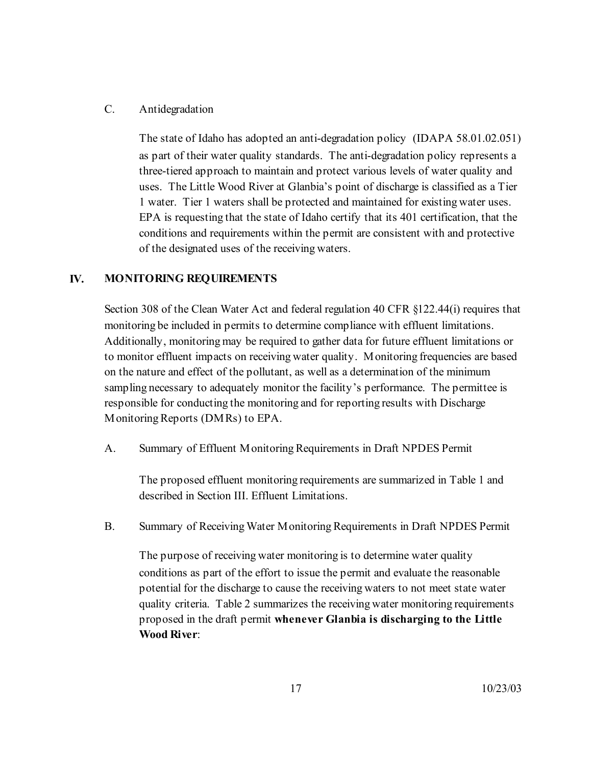## C. Antidegradation

The state of Idaho has adopted an anti-degradation policy (IDAPA 58.01.02.051) as part of their water quality standards. The anti-degradation policy represents a three-tiered approach to maintain and protect various levels of water quality and uses. The Little Wood River at Glanbia's point of discharge is classified as a Tier 1 water. Tier 1 waters shall be protected and maintained for existing water uses. EPA is requesting that the state of Idaho certify that its 401 certification, that the conditions and requirements within the permit are consistent with and protective of the designated uses of the receiving waters.

## **IV. MONITORING REQUIREMENTS**

Section 308 of the Clean Water Act and federal regulation 40 CFR §122.44(i) requires that monitoring be included in permits to determine compliance with effluent limitations. Additionally, monitoring may be required to gather data for future effluent limitations or to monitor effluent impacts on receiving water quality. Monitoring frequencies are based on the nature and effect of the pollutant, as well as a determination of the minimum sampling necessary to adequately monitor the facility's performance. The permittee is responsible for conducting the monitoring and for reporting results with Discharge Monitoring Reports (DMRs) to EPA.

A. Summary of Effluent Monitoring Requirements in Draft NPDES Permit

The proposed effluent monitoring requirements are summarized in Table 1 and described in Section III. Effluent Limitations.

B. Summary of Receiving Water Monitoring Requirements in Draft NPDES Permit

The purpose of receiving water monitoring is to determine water quality conditions as part of the effort to issue the permit and evaluate the reasonable potential for the discharge to cause the receiving waters to not meet state water quality criteria. Table 2 summarizes the receiving water monitoring requirements proposed in the draft permit **whenever Glanbia is discharging to the Little Wood River**: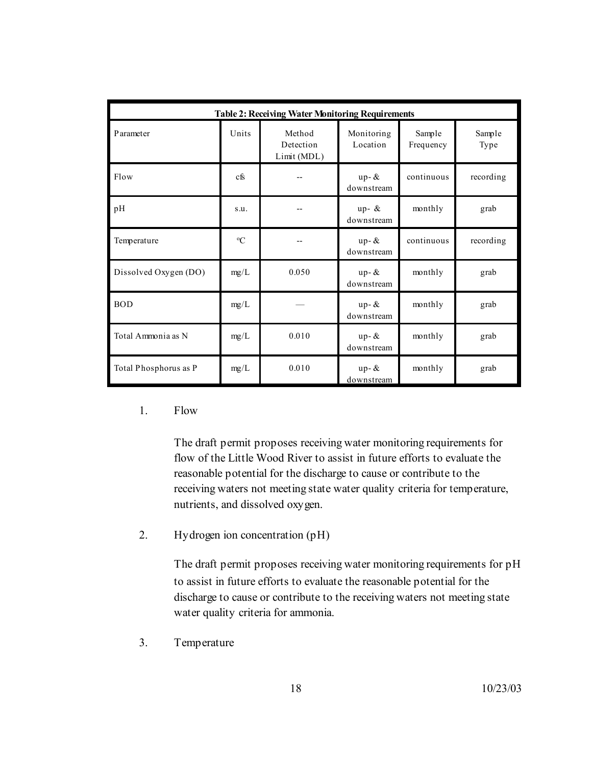| <b>Table 2: Receiving Water Monitoring Requirements</b> |               |                                    |                        |                     |                |
|---------------------------------------------------------|---------------|------------------------------------|------------------------|---------------------|----------------|
| Parameter                                               | Units         | Method<br>Detection<br>Limit (MDL) | Monitoring<br>Location | Sample<br>Frequency | Sample<br>Type |
| Flow                                                    | cfs           |                                    | $up-$ &<br>downstream  | continuous          | recording      |
| pH                                                      | S.U.          |                                    | up- $\&$<br>downstream | monthly             | grab           |
| Temperature                                             | ${}^{\circ}C$ |                                    | $up-$ &<br>downstream  | continuous          | recording      |
| Dissolved Oxygen (DO)                                   | mg/L          | 0.050                              | $up-$ &<br>downstream  | monthly             | grab           |
| <b>BOD</b>                                              | mg/L          |                                    | $up-$ &<br>downstream  | monthly             | grab           |
| Total Ammonia as N                                      | mg/L          | 0.010                              | $up-$ &<br>downstream  | monthly             | grab           |
| Total Phosphorus as P                                   | mg/L          | 0.010                              | $up-$ &<br>downstream  | monthly             | grab           |

#### 1. Flow

The draft permit proposes receiving water monitoring requirements for flow of the Little Wood River to assist in future efforts to evaluate the reasonable potential for the discharge to cause or contribute to the receiving waters not meeting state water quality criteria for temperature, nutrients, and dissolved oxygen.

2. Hydrogen ion concentration (pH)

The draft permit proposes receiving water monitoring requirements for pH to assist in future efforts to evaluate the reasonable potential for the discharge to cause or contribute to the receiving waters not meeting state water quality criteria for ammonia.

3. Temperature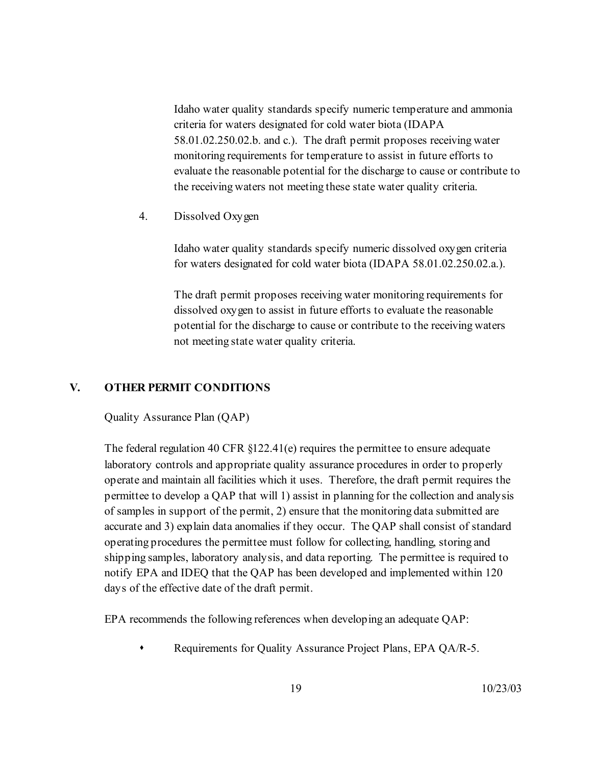Idaho water quality standards specify numeric temperature and ammonia criteria for waters designated for cold water biota (IDAPA 58.01.02.250.02.b. and c.). The draft permit proposes receiving water monitoring requirements for temperature to assist in future efforts to evaluate the reasonable potential for the discharge to cause or contribute to the receiving waters not meeting these state water quality criteria.

4. Dissolved Oxygen

Idaho water quality standards specify numeric dissolved oxygen criteria for waters designated for cold water biota (IDAPA 58.01.02.250.02.a.).

The draft permit proposes receiving water monitoring requirements for dissolved oxygen to assist in future efforts to evaluate the reasonable potential for the discharge to cause or contribute to the receiving waters not meeting state water quality criteria.

## **V. OTHER PERMIT CONDITIONS**

Quality Assurance Plan (QAP)

The federal regulation 40 CFR §122.41(e) requires the permittee to ensure adequate laboratory controls and appropriate quality assurance procedures in order to properly operate and maintain all facilities which it uses. Therefore, the draft permit requires the permittee to develop a QAP that will 1) assist in planning for the collection and analysis of samples in support of the permit, 2) ensure that the monitoring data submitted are accurate and 3) explain data anomalies if they occur. The QAP shall consist of standard operating procedures the permittee must follow for collecting, handling, storing and shipping samples, laboratory analysis, and data reporting. The permittee is required to notify EPA and IDEQ that the QAP has been developed and implemented within 120 days of the effective date of the draft permit.

EPA recommends the following references when developing an adequate QAP:

Requirements for Quality Assurance Project Plans, EPA QA/R-5.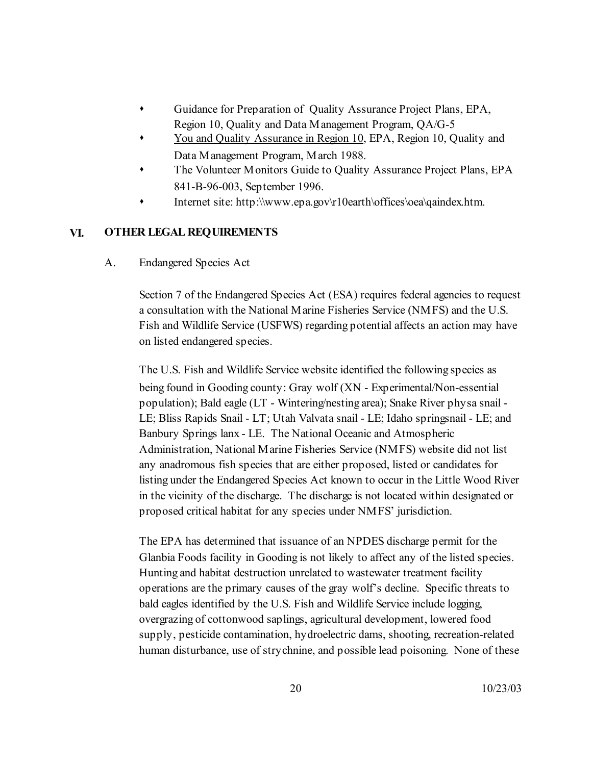- Guidance for Preparation of Quality Assurance Project Plans, EPA, Region 10, Quality and Data Management Program, QA/G-5
- You and Quality Assurance in Region 10, EPA, Region 10, Quality and Data Management Program, March 1988.
- The Volunteer Monitors Guide to Quality Assurance Project Plans, EPA 841-B-96-003, September 1996.
- Internet site: http:\\www.epa.gov\r10earth\offices\oea\qaindex.htm.

## **VI. OTHER LEGAL REQUIREMENTS**

A. Endangered Species Act

Section 7 of the Endangered Species Act (ESA) requires federal agencies to request a consultation with the National Marine Fisheries Service (NMFS) and the U.S. Fish and Wildlife Service (USFWS) regarding potential affects an action may have on listed endangered species.

The U.S. Fish and Wildlife Service website identified the following species as being found in Gooding county: Gray wolf (XN - Experimental/Non-essential population); Bald eagle (LT - Wintering/nesting area); Snake River physa snail - LE; Bliss Rapids Snail - LT; Utah Valvata snail - LE; Idaho springsnail - LE; and Banbury Springs lanx - LE. The National Oceanic and Atmospheric Administration, National Marine Fisheries Service (NMFS) website did not list any anadromous fish species that are either proposed, listed or candidates for listing under the Endangered Species Act known to occur in the Little Wood River in the vicinity of the discharge. The discharge is not located within designated or proposed critical habitat for any species under NMFS' jurisdiction.

The EPA has determined that issuance of an NPDES discharge permit for the Glanbia Foods facility in Gooding is not likely to affect any of the listed species. Hunting and habitat destruction unrelated to wastewater treatment facility operations are the primary causes of the gray wolf's decline. Specific threats to bald eagles identified by the U.S. Fish and Wildlife Service include logging, overgrazing of cottonwood saplings, agricultural development, lowered food supply, pesticide contamination, hydroelectric dams, shooting, recreation-related human disturbance, use of strychnine, and possible lead poisoning. None of these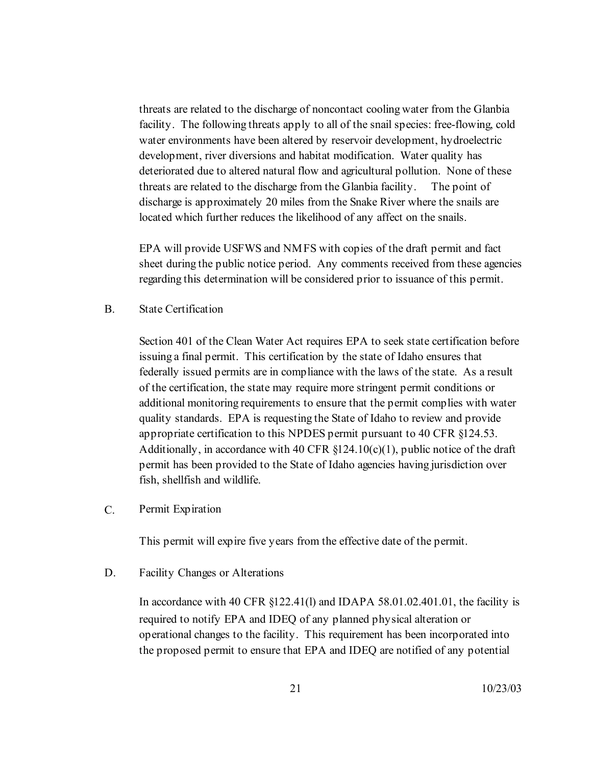threats are related to the discharge of noncontact cooling water from the Glanbia facility. The following threats apply to all of the snail species: free-flowing, cold water environments have been altered by reservoir development, hydroelectric development, river diversions and habitat modification. Water quality has deteriorated due to altered natural flow and agricultural pollution. None of these threats are related to the discharge from the Glanbia facility. The point of discharge is approximately 20 miles from the Snake River where the snails are located which further reduces the likelihood of any affect on the snails.

EPA will provide USFWS and NMFS with copies of the draft permit and fact sheet during the public notice period. Any comments received from these agencies regarding this determination will be considered prior to issuance of this permit.

B. State Certification

Section 401 of the Clean Water Act requires EPA to seek state certification before issuing a final permit. This certification by the state of Idaho ensures that federally issued permits are in compliance with the laws of the state. As a result of the certification, the state may require more stringent permit conditions or additional monitoring requirements to ensure that the permit complies with water quality standards. EPA is requesting the State of Idaho to review and provide appropriate certification to this NPDES permit pursuant to 40 CFR §124.53. Additionally, in accordance with 40 CFR  $$124.10(c)(1)$ , public notice of the draft permit has been provided to the State of Idaho agencies having jurisdiction over fish, shellfish and wildlife.

C. Permit Expiration

This permit will expire five years from the effective date of the permit.

D. Facility Changes or Alterations

In accordance with 40 CFR §122.41(l) and IDAPA 58.01.02.401.01, the facility is required to notify EPA and IDEQ of any planned physical alteration or operational changes to the facility. This requirement has been incorporated into the proposed permit to ensure that EPA and IDEQ are notified of any potential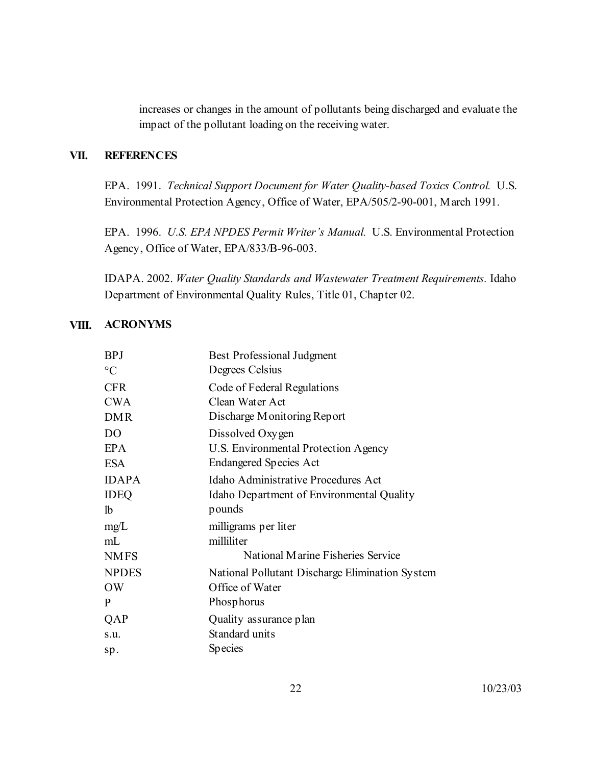increases or changes in the amount of pollutants being discharged and evaluate the impact of the pollutant loading on the receiving water.

## **VII. REFERENCES**

EPA. 1991. *Technical Support Document for Water Quality-based Toxics Control.* U.S. Environmental Protection Agency, Office of Water, EPA/505/2-90-001, March 1991.

EPA. 1996. *U.S. EPA NPDES Permit Writer's Manual.* U.S. Environmental Protection Agency, Office of Water, EPA/833/B-96-003.

IDAPA. 2002. *Water Quality Standards and Wastewater Treatment Requirements.* Idaho Department of Environmental Quality Rules, Title 01, Chapter 02.

#### **VIII. ACRONYMS**

| <b>BPJ</b>      | <b>Best Professional Judgment</b>               |
|-----------------|-------------------------------------------------|
| $\rm ^{\circ}C$ | Degrees Celsius                                 |
| <b>CFR</b>      | Code of Federal Regulations                     |
| <b>CWA</b>      | Clean Water Act                                 |
| <b>DMR</b>      | Discharge Monitoring Report                     |
| D <sub>O</sub>  | Dissolved Oxygen                                |
| <b>EPA</b>      | U.S. Environmental Protection Agency            |
| <b>ESA</b>      | <b>Endangered Species Act</b>                   |
| <b>IDAPA</b>    | Idaho Administrative Procedures Act             |
| <b>IDEQ</b>     | Idaho Department of Environmental Quality       |
| <sup>1</sup>    | pounds                                          |
| mg/L            | milligrams per liter                            |
| mL              | milliliter                                      |
| <b>NMFS</b>     | National Marine Fisheries Service               |
| <b>NPDES</b>    | National Pollutant Discharge Elimination System |
| <b>OW</b>       | Office of Water                                 |
| P               | Phosphorus                                      |
| QAP             | Quality assurance plan                          |
| s.u.            | Standard units                                  |
| sp.             | <b>Species</b>                                  |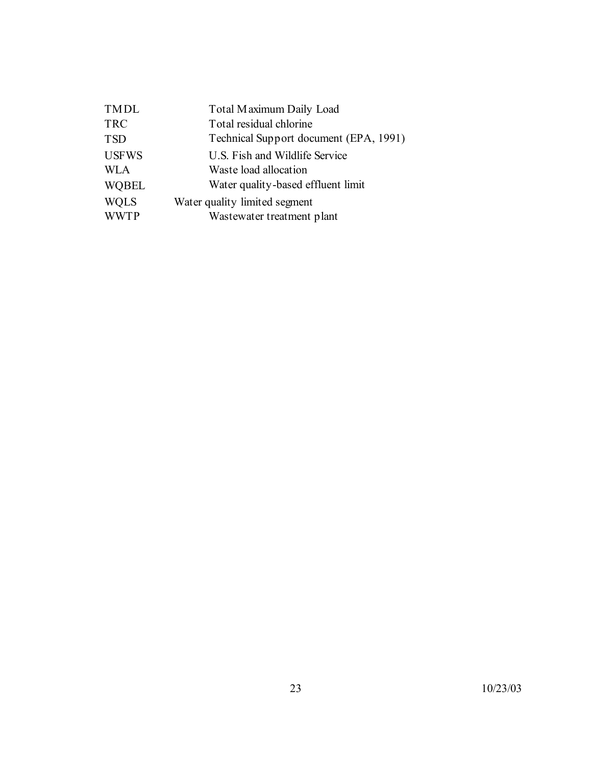| <b>TMDL</b>  | Total Maximum Daily Load               |
|--------------|----------------------------------------|
| <b>TRC</b>   | Total residual chlorine                |
| <b>TSD</b>   | Technical Support document (EPA, 1991) |
| <b>USFWS</b> | U.S. Fish and Wildlife Service         |
| <b>WLA</b>   | Waste load allocation                  |
| <b>WOBEL</b> | Water quality-based effluent limit     |
| <b>WQLS</b>  | Water quality limited segment          |
| <b>WWTP</b>  | Wastewater treatment plant             |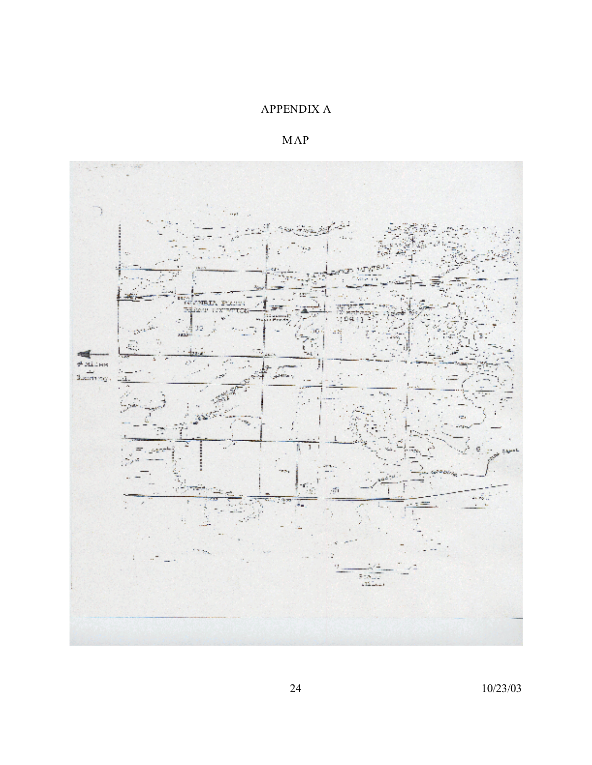## APPENDIX A

MAP



24 10/23/03